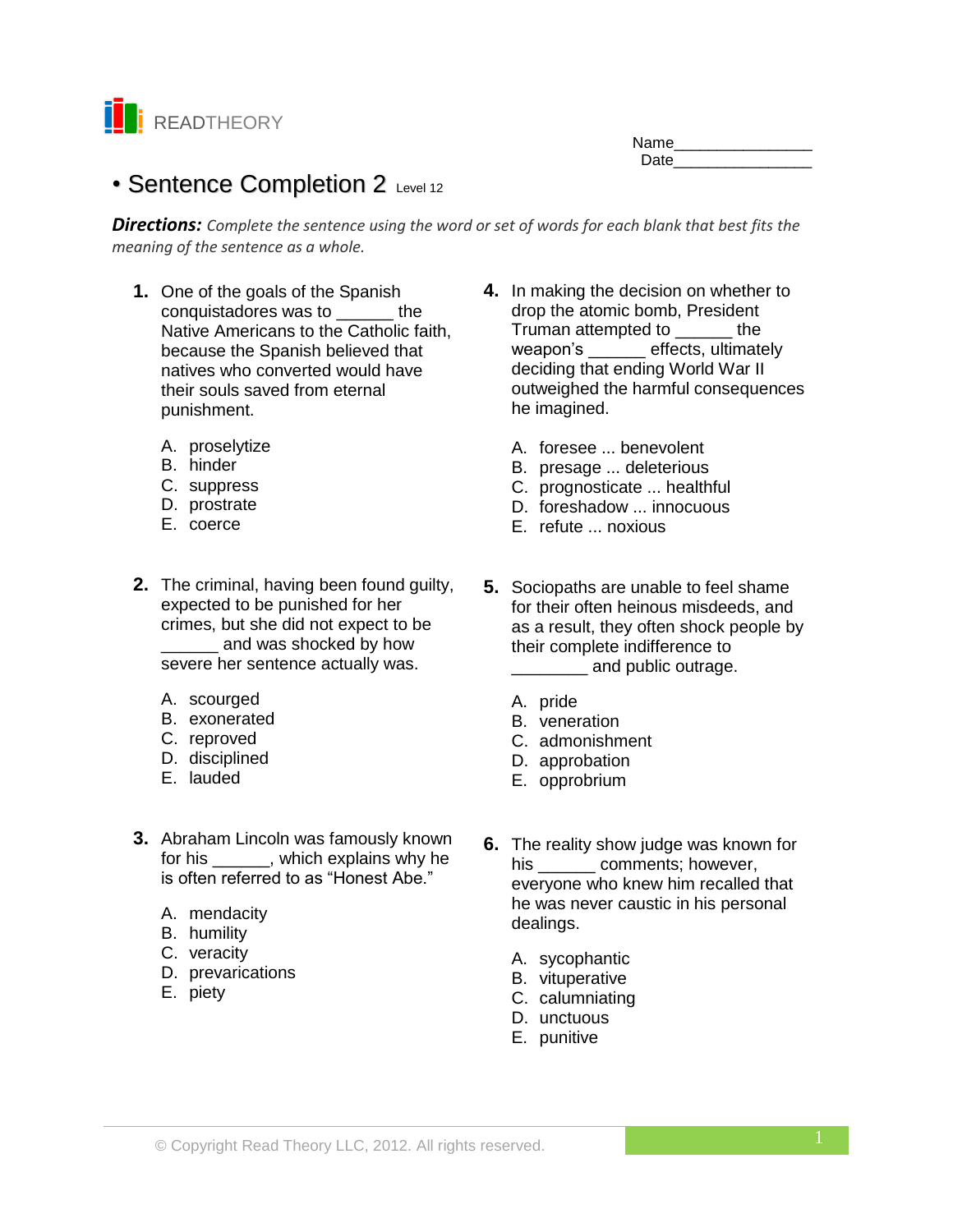

| Name |  |
|------|--|
| Date |  |

# • Sentence Completion 2 Level 12

*Directions: Complete the sentence using the word or set of words for each blank that best fits the meaning of the sentence as a whole.*

- **1.** One of the goals of the Spanish conquistadores was to **the** Native Americans to the Catholic faith, because the Spanish believed that natives who converted would have their souls saved from eternal punishment.
	- A. proselytize
	- B. hinder
	- C. suppress
	- D. prostrate
	- E. coerce
- **2.** The criminal, having been found guilty, expected to be punished for her crimes, but she did not expect to be \_\_\_\_\_\_ and was shocked by how severe her sentence actually was.
	- A. scourged
	- B. exonerated
	- C. reproved
	- D. disciplined
	- E. lauded
- **3.** Abraham Lincoln was famously known for his \_\_\_\_\_\_\_, which explains why he is often referred to as "Honest Abe."
	- A. mendacity
	- B. humility
	- C. veracity
	- D. prevarications
	- E. piety
- **4.** In making the decision on whether to drop the atomic bomb, President Truman attempted to \_\_\_\_\_\_ the weapon's \_\_\_\_\_\_ effects, ultimately deciding that ending World War II outweighed the harmful consequences he imagined.
	- A. foresee ... benevolent
	- B. presage ... deleterious
	- C. prognosticate ... healthful
	- D. foreshadow ... innocuous
	- E. refute ... noxious
- **5.** Sociopaths are unable to feel shame for their often heinous misdeeds, and as a result, they often shock people by their complete indifference to and public outrage.
	- A. pride
	- B. veneration
	- C. admonishment
	- D. approbation
	- E. opprobrium
- **6.** The reality show judge was known for his comments; however, everyone who knew him recalled that he was never caustic in his personal dealings.
	- A. sycophantic
	- B. vituperative
	- C. calumniating
	- D. unctuous
	- E. punitive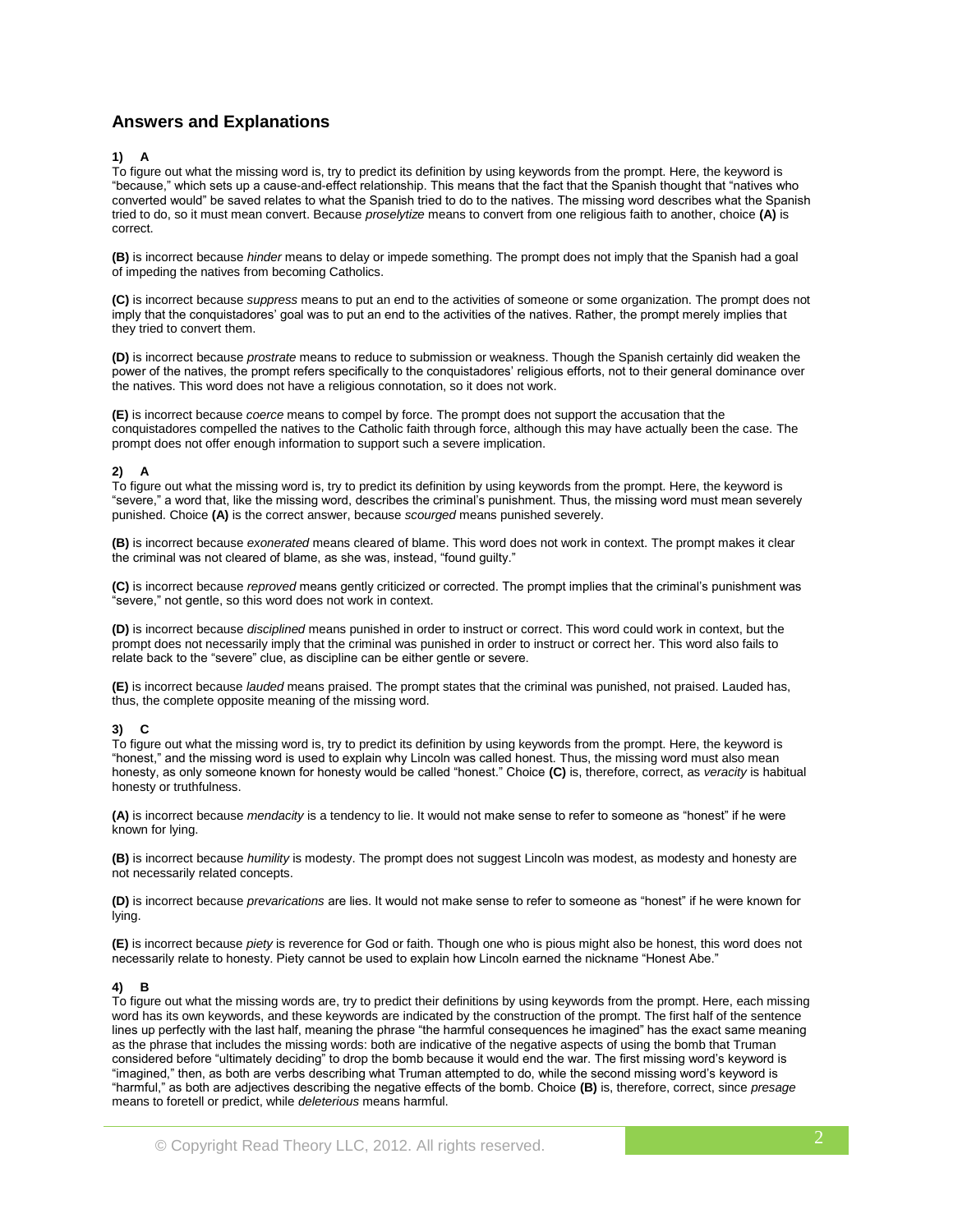## **Answers and Explanations**

#### **1) A**

To figure out what the missing word is, try to predict its definition by using keywords from the prompt. Here, the keyword is "because," which sets up a cause-and-effect relationship. This means that the fact that the Spanish thought that "natives who converted would" be saved relates to what the Spanish tried to do to the natives. The missing word describes what the Spanish tried to do, so it must mean convert. Because *proselytize* means to convert from one religious faith to another, choice **(A)** is correct.

**(B)** is incorrect because *hinder* means to delay or impede something. The prompt does not imply that the Spanish had a goal of impeding the natives from becoming Catholics.

**(C)** is incorrect because *suppress* means to put an end to the activities of someone or some organization. The prompt does not imply that the conquistadores' goal was to put an end to the activities of the natives. Rather, the prompt merely implies that they tried to convert them.

**(D)** is incorrect because *prostrate* means to reduce to submission or weakness. Though the Spanish certainly did weaken the power of the natives, the prompt refers specifically to the conquistadores' religious efforts, not to their general dominance over the natives. This word does not have a religious connotation, so it does not work.

**(E)** is incorrect because *coerce* means to compel by force. The prompt does not support the accusation that the conquistadores compelled the natives to the Catholic faith through force, although this may have actually been the case. The prompt does not offer enough information to support such a severe implication.

#### **2) A**

To figure out what the missing word is, try to predict its definition by using keywords from the prompt. Here, the keyword is "severe," a word that, like the missing word, describes the criminal's punishment. Thus, the missing word must mean severely punished. Choice **(A)** is the correct answer, because *scourged* means punished severely.

**(B)** is incorrect because *exonerated* means cleared of blame. This word does not work in context. The prompt makes it clear the criminal was not cleared of blame, as she was, instead, "found guilty."

**(C)** is incorrect because *reproved* means gently criticized or corrected. The prompt implies that the criminal's punishment was "severe," not gentle, so this word does not work in context.

**(D)** is incorrect because *disciplined* means punished in order to instruct or correct. This word could work in context, but the prompt does not necessarily imply that the criminal was punished in order to instruct or correct her. This word also fails to relate back to the "severe" clue, as discipline can be either gentle or severe.

**(E)** is incorrect because *lauded* means praised. The prompt states that the criminal was punished, not praised. Lauded has, thus, the complete opposite meaning of the missing word.

#### **3) C**

To figure out what the missing word is, try to predict its definition by using keywords from the prompt. Here, the keyword is "honest," and the missing word is used to explain why Lincoln was called honest. Thus, the missing word must also mean honesty, as only someone known for honesty would be called "honest." Choice **(C)** is, therefore, correct, as *veracity* is habitual honesty or truthfulness.

**(A)** is incorrect because *mendacity* is a tendency to lie. It would not make sense to refer to someone as "honest" if he were known for lying.

**(B)** is incorrect because *humility* is modesty. The prompt does not suggest Lincoln was modest, as modesty and honesty are not necessarily related concepts.

**(D)** is incorrect because *prevarications* are lies. It would not make sense to refer to someone as "honest" if he were known for lying.

**(E)** is incorrect because *piety* is reverence for God or faith. Though one who is pious might also be honest, this word does not necessarily relate to honesty. Piety cannot be used to explain how Lincoln earned the nickname "Honest Abe."

#### **4) B**

To figure out what the missing words are, try to predict their definitions by using keywords from the prompt. Here, each missing word has its own keywords, and these keywords are indicated by the construction of the prompt. The first half of the sentence lines up perfectly with the last half, meaning the phrase "the harmful consequences he imagined" has the exact same meaning as the phrase that includes the missing words: both are indicative of the negative aspects of using the bomb that Truman considered before "ultimately deciding" to drop the bomb because it would end the war. The first missing word's keyword is "imagined," then, as both are verbs describing what Truman attempted to do, while the second missing word's keyword is "harmful," as both are adjectives describing the negative effects of the bomb. Choice **(B)** is, therefore, correct, since *presage* means to foretell or predict, while *deleterious* means harmful.